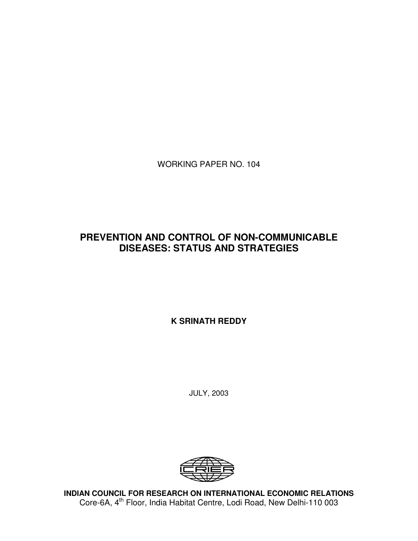WORKING PAPER NO. 104

# **PREVENTION AND CONTROL OF NON-COMMUNICABLE DISEASES: STATUS AND STRATEGIES**

**K SRINATH REDDY**

JULY, 2003



**INDIAN COUNCIL FOR RESEARCH ON INTERNATIONAL ECONOMIC RELATIONS** Core-6A, 4<sup>th</sup> Floor, India Habitat Centre, Lodi Road, New Delhi-110 003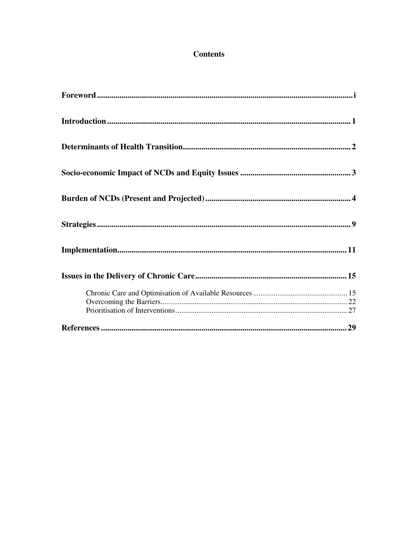# **Contents**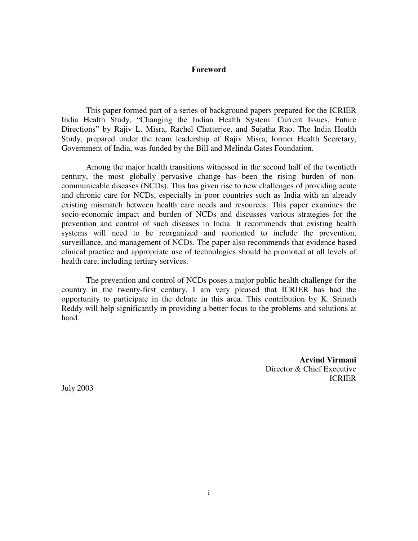## **Foreword**

This paper formed part of a series of background papers prepared for the ICRIER India Health Study, "Changing the Indian Health System: Current Issues, Future Directions" by Rajiv L. Misra, Rachel Chatterjee, and Sujatha Rao. The India Health Study, prepared under the team leadership of Rajiv Misra, former Health Secretary, Government of India, was funded by the Bill and Melinda Gates Foundation.

Among the major health transitions witnessed in the second half of the twentieth century, the most globally pervasive change has been the rising burden of noncommunicable diseases (NCDs). This has given rise to new challenges of providing acute and chronic care for NCDs, especially in poor countries such as India with an already existing mismatch between health care needs and resources. This paper examines the socio-economic impact and burden of NCDs and discusses various strategies for the prevention and control of such diseases in India. It recommends that existing health systems will need to be reorganized and reoriented to include the prevention, surveillance, and management of NCDs. The paper also recommends that evidence based clinical practice and appropriate use of technologies should be promoted at all levels of health care, including tertiary services.

The prevention and control of NCDs poses a major public health challenge for the country in the twenty-first century. I am very pleased that ICRIER has had the opportunity to participate in the debate in this area. This contribution by K. Srinath Reddy will help significantly in providing a better focus to the problems and solutions at hand.

> **Arvind Virmani** Director & Chief Executive ICRIER

July 2003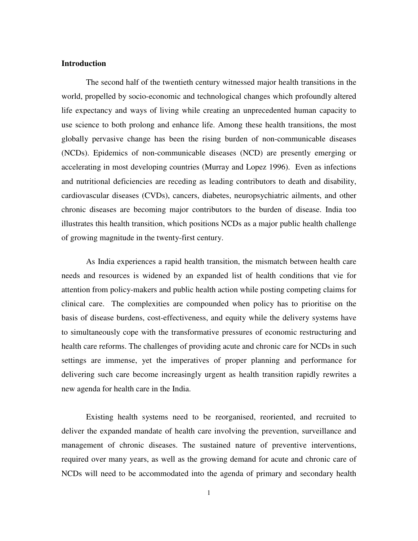## **Introduction**

The second half of the twentieth century witnessed major health transitions in the world, propelled by socio-economic and technological changes which profoundly altered life expectancy and ways of living while creating an unprecedented human capacity to use science to both prolong and enhance life. Among these health transitions, the most globally pervasive change has been the rising burden of non-communicable diseases (NCDs). Epidemics of non-communicable diseases (NCD) are presently emerging or accelerating in most developing countries (Murray and Lopez 1996). Even as infections and nutritional deficiencies are receding as leading contributors to death and disability, cardiovascular diseases (CVDs), cancers, diabetes, neuropsychiatric ailments, and other chronic diseases are becoming major contributors to the burden of disease. India too illustrates this health transition, which positions NCDs as a major public health challenge of growing magnitude in the twenty-first century.

As India experiences a rapid health transition, the mismatch between health care needs and resources is widened by an expanded list of health conditions that vie for attention from policy-makers and public health action while posting competing claims for clinical care. The complexities are compounded when policy has to prioritise on the basis of disease burdens, cost-effectiveness, and equity while the delivery systems have to simultaneously cope with the transformative pressures of economic restructuring and health care reforms. The challenges of providing acute and chronic care for NCDs in such settings are immense, yet the imperatives of proper planning and performance for delivering such care become increasingly urgent as health transition rapidly rewrites a new agenda for health care in the India.

Existing health systems need to be reorganised, reoriented, and recruited to deliver the expanded mandate of health care involving the prevention, surveillance and management of chronic diseases. The sustained nature of preventive interventions, required over many years, as well as the growing demand for acute and chronic care of NCDs will need to be accommodated into the agenda of primary and secondary health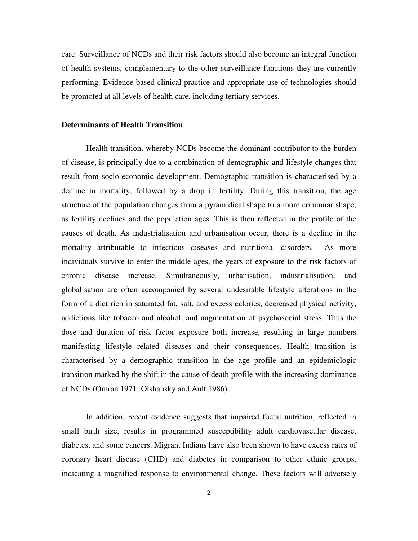care. Surveillance of NCDs and their risk factors should also become an integral function of health systems, complementary to the other surveillance functions they are currently performing. Evidence based clinical practice and appropriate use of technologies should be promoted at all levels of health care, including tertiary services.

#### **Determinants of Health Transition**

Health transition, whereby NCDs become the dominant contributor to the burden of disease, is principally due to a combination of demographic and lifestyle changes that result from socio-economic development. Demographic transition is characterised by a decline in mortality, followed by a drop in fertility. During this transition, the age structure of the population changes from a pyramidical shape to a more columnar shape, as fertility declines and the population ages. This is then reflected in the profile of the causes of death. As industrialisation and urbanisation occur, there is a decline in the mortality attributable to infectious diseases and nutritional disorders. As more individuals survive to enter the middle ages, the years of exposure to the risk factors of chronic disease increase. Simultaneously, urbanisation, industrialisation, and globalisation are often accompanied by several undesirable lifestyle alterations in the form of a diet rich in saturated fat, salt, and excess calories, decreased physical activity, addictions like tobacco and alcohol, and augmentation of psychosocial stress. Thus the dose and duration of risk factor exposure both increase, resulting in large numbers manifesting lifestyle related diseases and their consequences. Health transition is characterised by a demographic transition in the age profile and an epidemiologic transition marked by the shift in the cause of death profile with the increasing dominance of NCDs (Omran 1971; Olshansky and Ault 1986).

In addition, recent evidence suggests that impaired foetal nutrition, reflected in small birth size, results in programmed susceptibility adult cardiovascular disease, diabetes, and some cancers. Migrant Indians have also been shown to have excess rates of coronary heart disease (CHD) and diabetes in comparison to other ethnic groups, indicating a magnified response to environmental change. These factors will adversely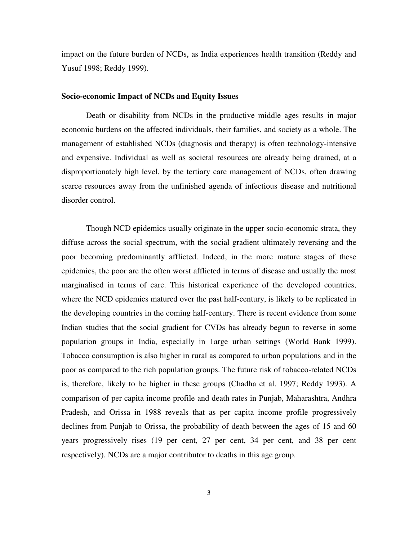impact on the future burden of NCDs, as India experiences health transition (Reddy and Yusuf 1998; Reddy 1999).

## **Socio-economic Impact of NCDs and Equity Issues**

Death or disability from NCDs in the productive middle ages results in major economic burdens on the affected individuals, their families, and society as a whole. The management of established NCDs (diagnosis and therapy) is often technology-intensive and expensive. Individual as well as societal resources are already being drained, at a disproportionately high level, by the tertiary care management of NCDs, often drawing scarce resources away from the unfinished agenda of infectious disease and nutritional disorder control.

Though NCD epidemics usually originate in the upper socio-economic strata, they diffuse across the social spectrum, with the social gradient ultimately reversing and the poor becoming predominantly afflicted. Indeed, in the more mature stages of these epidemics, the poor are the often worst afflicted in terms of disease and usually the most marginalised in terms of care. This historical experience of the developed countries, where the NCD epidemics matured over the past half-century, is likely to be replicated in the developing countries in the coming half-century. There is recent evidence from some Indian studies that the social gradient for CVDs has already begun to reverse in some population groups in India, especially in 1arge urban settings (World Bank 1999). Tobacco consumption is also higher in rural as compared to urban populations and in the poor as compared to the rich population groups. The future risk of tobacco-related NCDs is, therefore, likely to be higher in these groups (Chadha et al. 1997; Reddy 1993). A comparison of per capita income profile and death rates in Punjab, Maharashtra, Andhra Pradesh, and Orissa in 1988 reveals that as per capita income profile progressively declines from Punjab to Orissa, the probability of death between the ages of 15 and 60 years progressively rises (19 per cent, 27 per cent, 34 per cent, and 38 per cent respectively). NCDs are a major contributor to deaths in this age group.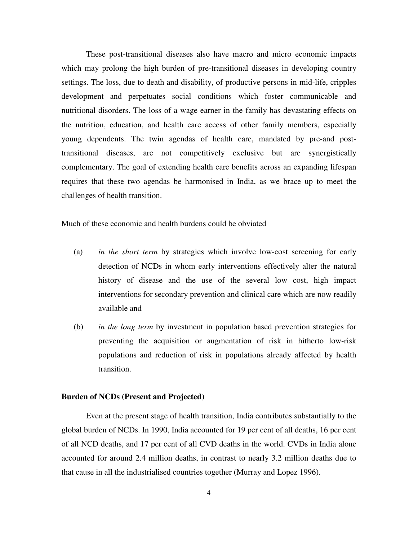These post-transitional diseases also have macro and micro economic impacts which may prolong the high burden of pre-transitional diseases in developing country settings. The loss, due to death and disability, of productive persons in mid-life, cripples development and perpetuates social conditions which foster communicable and nutritional disorders. The loss of a wage earner in the family has devastating effects on the nutrition, education, and health care access of other family members, especially young dependents. The twin agendas of health care, mandated by pre-and posttransitional diseases, are not competitively exclusive but are synergistically complementary. The goal of extending health care benefits across an expanding lifespan requires that these two agendas be harmonised in India, as we brace up to meet the challenges of health transition.

Much of these economic and health burdens could be obviated

- (a) *in the short term* by strategies which involve low-cost screening for early detection of NCDs in whom early interventions effectively alter the natural history of disease and the use of the several low cost, high impact interventions for secondary prevention and clinical care which are now readily available and
- (b) *in the long term* by investment in population based prevention strategies for preventing the acquisition or augmentation of risk in hitherto low-risk populations and reduction of risk in populations already affected by health transition.

#### **Burden of NCDs (Present and Projected)**

Even at the present stage of health transition, India contributes substantially to the global burden of NCDs. In 1990, India accounted for 19 per cent of all deaths, 16 per cent of all NCD deaths, and 17 per cent of all CVD deaths in the world. CVDs in India alone accounted for around 2.4 million deaths, in contrast to nearly 3.2 million deaths due to that cause in all the industrialised countries together (Murray and Lopez 1996).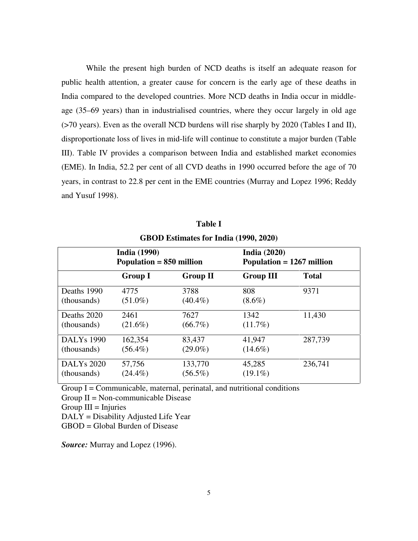While the present high burden of NCD deaths is itself an adequate reason for public health attention, a greater cause for concern is the early age of these deaths in India compared to the developed countries. More NCD deaths in India occur in middleage (35–69 years) than in industrialised countries, where they occur largely in old age (>70 years). Even as the overall NCD burdens will rise sharply by 2020 (Tables I and II), disproportionate loss of lives in mid-life will continue to constitute a major burden (Table III). Table IV provides a comparison between India and established market economies (EME). In India, 52.2 per cent of all CVD deaths in 1990 occurred before the age of 70 years, in contrast to 22.8 per cent in the EME countries (Murray and Lopez 1996; Reddy and Yusuf 1998).

|                   | <b>India (1990)</b><br>Population $= 850$ million |                 | India $(2020)$<br>Population $= 1267$ million |              |
|-------------------|---------------------------------------------------|-----------------|-----------------------------------------------|--------------|
|                   | <b>Group I</b>                                    | <b>Group II</b> | <b>Group III</b>                              | <b>Total</b> |
| Deaths 1990       | 4775                                              | 3788            | 808                                           | 9371         |
| (thousands)       | $(51.0\%)$                                        | $(40.4\%)$      | $(8.6\%)$                                     |              |
| Deaths 2020       | 2461                                              | 7627            | 1342                                          | 11,430       |
| (thousands)       | $(21.6\%)$                                        | $(66.7\%)$      | $(11.7\%)$                                    |              |
| <b>DALYs</b> 1990 | 162,354                                           | 83,437          | 41,947                                        | 287,739      |
| (thousands)       | $(56.4\%)$                                        | $(29.0\%)$      | $(14.6\%)$                                    |              |
| <b>DALYs 2020</b> | 57,756                                            | 133,770         | 45,285                                        | 236,741      |
| (thousands)       | $(24.4\%)$                                        | $(56.5\%)$      | $(19.1\%)$                                    |              |

**Table I GBOD Estimates for India (1990, 2020)**

Group  $I =$  Communicable, maternal, perinatal, and nutritional conditions Group  $II = Non-communizable Discase$  $Group III = Injuries$ 

DALY = Disability Adjusted Life Year

GBOD = Global Burden of Disease

*Source:* Murray and Lopez (1996).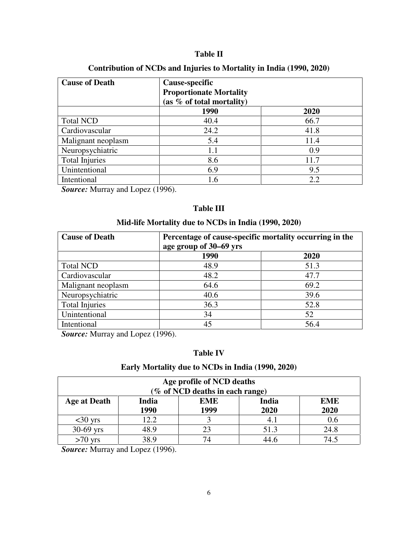## **Table II**

## **Contribution of NCDs and Injuries to Mortality in India (1990, 2020)**

| <b>Cause of Death</b> | Cause-specific<br><b>Proportionate Mortality</b><br>(as $%$ of total mortality) |      |  |
|-----------------------|---------------------------------------------------------------------------------|------|--|
|                       | 1990                                                                            | 2020 |  |
| <b>Total NCD</b>      | 40.4                                                                            | 66.7 |  |
| Cardiovascular        | 24.2                                                                            | 41.8 |  |
| Malignant neoplasm    | 5.4                                                                             | 11.4 |  |
| Neuropsychiatric      | 1.1                                                                             | 0.9  |  |
| <b>Total Injuries</b> | 8.6                                                                             | 11.7 |  |
| Unintentional         | 6.9                                                                             | 9.5  |  |
| Intentional           | 1.6                                                                             | 2.2  |  |

*Source:* Murray and Lopez (1996).

## **Table III**

## **Mid-life Mortality due to NCDs in India (1990, 2020)**

| <b>Cause of Death</b> | Percentage of cause-specific mortality occurring in the |      |  |
|-----------------------|---------------------------------------------------------|------|--|
|                       | age group of 30–69 yrs                                  |      |  |
|                       | 1990                                                    | 2020 |  |
| <b>Total NCD</b>      | 48.9                                                    | 51.3 |  |
| Cardiovascular        | 48.2                                                    | 47.7 |  |
| Malignant neoplasm    | 64.6                                                    | 69.2 |  |
| Neuropsychiatric      | 40.6                                                    | 39.6 |  |
| <b>Total Injuries</b> | 36.3                                                    | 52.8 |  |
| Unintentional         | 34                                                      | 52   |  |
| Intentional           | 45                                                      | 56.4 |  |

**Source:** Murray and Lopez (1996).

# **Table IV**

## **Early Mortality due to NCDs in India (1990, 2020)**

| Age profile of NCD deaths<br>(% of NCD deaths in each range)                                      |      |    |      |      |
|---------------------------------------------------------------------------------------------------|------|----|------|------|
| India<br><b>India</b><br><b>EME</b><br><b>EME</b><br>Age at Death<br>1990<br>1999<br>2020<br>2020 |      |    |      |      |
| $<$ 30 yrs                                                                                        | 12.2 |    | 4.1  | 0.6  |
| $30-69$ yrs                                                                                       | 48.9 | 23 | 51.3 | 24.8 |
| $>70$ yrs                                                                                         | 38.9 | 74 | 44.6 | 74 5 |

*Source:* Murray and Lopez (1996).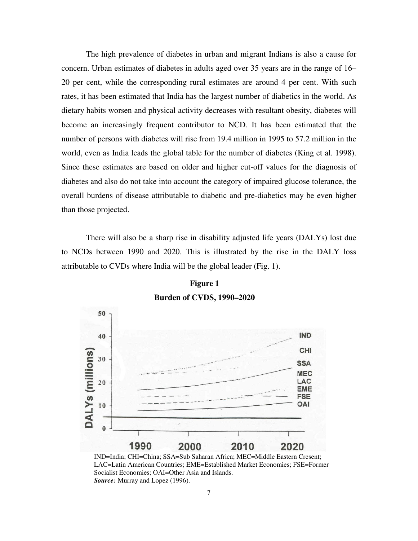The high prevalence of diabetes in urban and migrant Indians is also a cause for concern. Urban estimates of diabetes in adults aged over 35 years are in the range of 16– 20 per cent, while the corresponding rural estimates are around 4 per cent. With such rates, it has been estimated that India has the largest number of diabetics in the world. As dietary habits worsen and physical activity decreases with resultant obesity, diabetes will become an increasingly frequent contributor to NCD. It has been estimated that the number of persons with diabetes will rise from 19.4 million in 1995 to 57.2 million in the world, even as India leads the global table for the number of diabetes (King et al. 1998). Since these estimates are based on older and higher cut-off values for the diagnosis of diabetes and also do not take into account the category of impaired glucose tolerance, the overall burdens of disease attributable to diabetic and pre-diabetics may be even higher than those projected.

There will also be a sharp rise in disability adjusted life years (DALYs) lost due to NCDs between 1990 and 2020. This is illustrated by the rise in the DALY loss attributable to CVDs where India will be the global leader (Fig. 1).



**Figure 1 Burden of CVDS, 1990–2020**

IND=India; CHI=China; SSA=Sub Saharan Africa; MEC=Middle Eastern Cresent; LAC=Latin American Countries; EME=Established Market Economies; FSE=Former Socialist Economies; OAI=Other Asia and Islands. *Source:* Murray and Lopez (1996).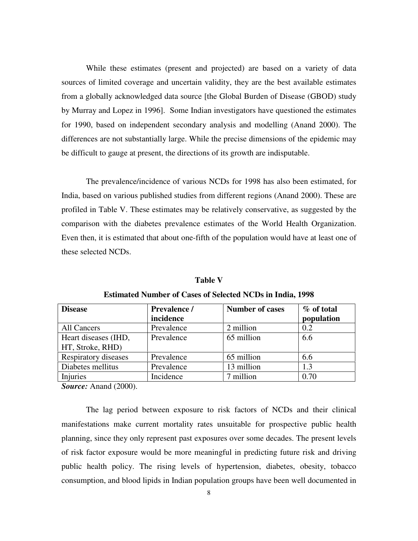While these estimates (present and projected) are based on a variety of data sources of limited coverage and uncertain validity, they are the best available estimates from a globally acknowledged data source [the Global Burden of Disease (GBOD) study by Murray and Lopez in 1996]. Some Indian investigators have questioned the estimates for 1990, based on independent secondary analysis and modelling (Anand 2000). The differences are not substantially large. While the precise dimensions of the epidemic may be difficult to gauge at present, the directions of its growth are indisputable.

The prevalence/incidence of various NCDs for 1998 has also been estimated, for India, based on various published studies from different regions (Anand 2000). These are profiled in Table V. These estimates may be relatively conservative, as suggested by the comparison with the diabetes prevalence estimates of the World Health Organization. Even then, it is estimated that about one-fifth of the population would have at least one of these selected NCDs.

| <b>Disease</b>                           | Prevalence /<br>incidence | <b>Number of cases</b> | % of total<br>population |
|------------------------------------------|---------------------------|------------------------|--------------------------|
| All Cancers                              | Prevalence                | 2 million              | 0.2                      |
| Heart diseases (IHD,<br>HT, Stroke, RHD) | Prevalence                | 65 million             | 6.6                      |
| Respiratory diseases                     | Prevalence                | 65 million             | 6.6                      |
| Diabetes mellitus                        | Prevalence                | 13 million             | 1.3                      |
| Injuries                                 | Incidence                 | 7 million              | 0.70                     |

**Table V Estimated Number of Cases of Selected NCDs in India, 1998**

*Source:* Anand (2000).

The lag period between exposure to risk factors of NCDs and their clinical manifestations make current mortality rates unsuitable for prospective public health planning, since they only represent past exposures over some decades. The present levels of risk factor exposure would be more meaningful in predicting future risk and driving public health policy. The rising levels of hypertension, diabetes, obesity, tobacco consumption, and blood lipids in Indian population groups have been well documented in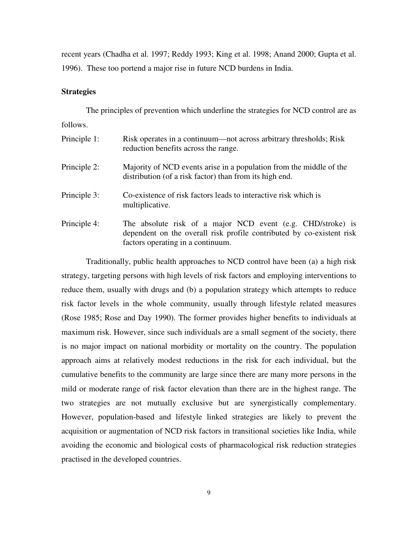recent years (Chadha et al. 1997; Reddy 1993; King et al. 1998; Anand 2000; Gupta et al. 1996). These too portend a major rise in future NCD burdens in India.

## **Strategies**

The principles of prevention which underline the strategies for NCD control are as follows.

| Principle 1: | Risk operates in a continuum—not across arbitrary thresholds; Risk<br>reduction benefits across the range.                                                                |
|--------------|---------------------------------------------------------------------------------------------------------------------------------------------------------------------------|
| Principle 2: | Majority of NCD events arise in a population from the middle of the<br>distribution (of a risk factor) than from its high end.                                            |
| Principle 3: | Co-existence of risk factors leads to interactive risk which is<br>multiplicative.                                                                                        |
| Principle 4: | The absolute risk of a major NCD event (e.g. CHD/stroke) is<br>dependent on the overall risk profile contributed by co-existent risk<br>factors operating in a continuum. |

Traditionally, public health approaches to NCD control have been (a) a high risk strategy, targeting persons with high levels of risk factors and employing interventions to reduce them, usually with drugs and (b) a population strategy which attempts to reduce risk factor levels in the whole community, usually through lifestyle related measures (Rose 1985; Rose and Day 1990). The former provides higher benefits to individuals at maximum risk. However, since such individuals are a small segment of the society, there is no major impact on national morbidity or mortality on the country. The population approach aims at relatively modest reductions in the risk for each individual, but the cumulative benefits to the community are large since there are many more persons in the mild or moderate range of risk factor elevation than there are in the highest range. The two strategies are not mutually exclusive but are synergistically complementary. However, population-based and lifestyle linked strategies are likely to prevent the acquisition or augmentation of NCD risk factors in transitional societies like India, while avoiding the economic and biological costs of pharmacological risk reduction strategies practised in the developed countries.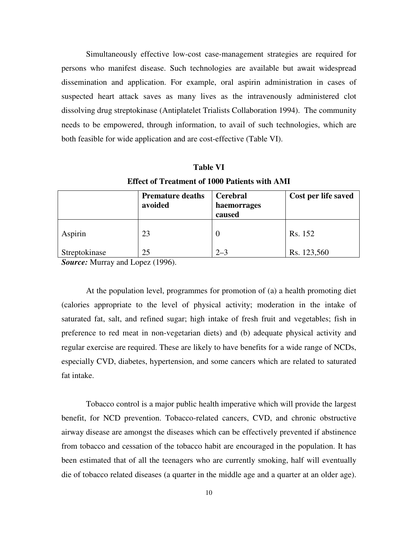Simultaneously effective low-cost case-management strategies are required for persons who manifest disease. Such technologies are available but await widespread dissemination and application. For example, oral aspirin administration in cases of suspected heart attack saves as many lives as the intravenously administered clot dissolving drug streptokinase (Antiplatelet Trialists Collaboration 1994). The community needs to be empowered, through information, to avail of such technologies, which are both feasible for wide application and are cost-effective (Table VI).

|               | Effect of Treatment of Tool Patients with AMI<br><b>Premature deaths</b><br>avoided | <b>Cerebral</b><br>haemorrages<br>caused | Cost per life saved |
|---------------|-------------------------------------------------------------------------------------|------------------------------------------|---------------------|
| Aspirin       | 23                                                                                  | 0                                        | Rs. 152             |
| Streptokinase | 25                                                                                  | $2 - 3$                                  | Rs. 123,560         |

**Table VI Effect of Treatment of 1000 Patients with AMI**

*Source:* Murray and Lopez (1996).

At the population level, programmes for promotion of (a) a health promoting diet (calories appropriate to the level of physical activity; moderation in the intake of saturated fat, salt, and refined sugar; high intake of fresh fruit and vegetables; fish in preference to red meat in non-vegetarian diets) and (b) adequate physical activity and regular exercise are required. These are likely to have benefits for a wide range of NCDs, especially CVD, diabetes, hypertension, and some cancers which are related to saturated fat intake.

Tobacco control is a major public health imperative which will provide the largest benefit, for NCD prevention. Tobacco-related cancers, CVD, and chronic obstructive airway disease are amongst the diseases which can be effectively prevented if abstinence from tobacco and cessation of the tobacco habit are encouraged in the population. It has been estimated that of all the teenagers who are currently smoking, half will eventually die of tobacco related diseases (a quarter in the middle age and a quarter at an older age).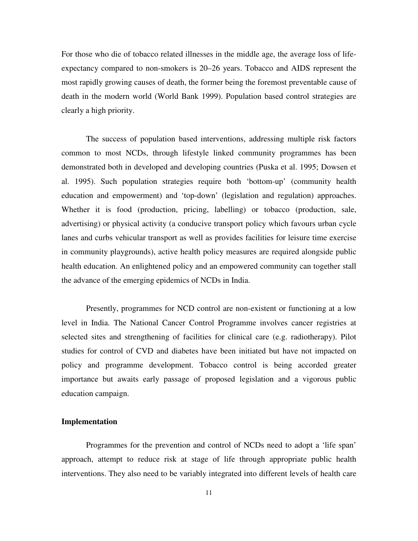For those who die of tobacco related illnesses in the middle age, the average loss of lifeexpectancy compared to non-smokers is 20–26 years. Tobacco and AIDS represent the most rapidly growing causes of death, the former being the foremost preventable cause of death in the modern world (World Bank 1999). Population based control strategies are clearly a high priority.

The success of population based interventions, addressing multiple risk factors common to most NCDs, through lifestyle linked community programmes has been demonstrated both in developed and developing countries (Puska et al. 1995; Dowsen et al. 1995). Such population strategies require both 'bottom-up' (community health education and empowerment) and 'top-down' (legislation and regulation) approaches. Whether it is food (production, pricing, labelling) or tobacco (production, sale, advertising) or physical activity (a conducive transport policy which favours urban cycle lanes and curbs vehicular transport as well as provides facilities for leisure time exercise in community playgrounds), active health policy measures are required alongside public health education. An enlightened policy and an empowered community can together stall the advance of the emerging epidemics of NCDs in India.

Presently, programmes for NCD control are non-existent or functioning at a low level in India. The National Cancer Control Programme involves cancer registries at selected sites and strengthening of facilities for clinical care (e.g. radiotherapy). Pilot studies for control of CVD and diabetes have been initiated but have not impacted on policy and programme development. Tobacco control is being accorded greater importance but awaits early passage of proposed legislation and a vigorous public education campaign.

## **Implementation**

Programmes for the prevention and control of NCDs need to adopt a 'life span' approach, attempt to reduce risk at stage of life through appropriate public health interventions. They also need to be variably integrated into different levels of health care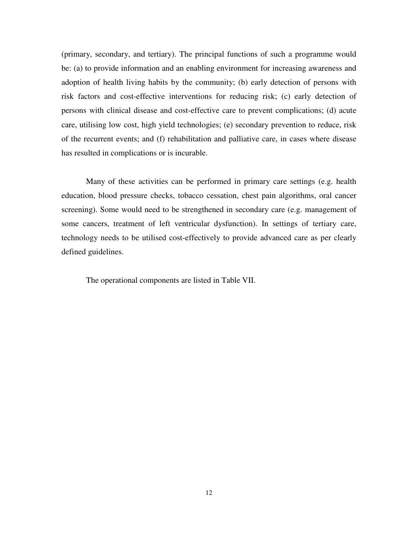(primary, secondary, and tertiary). The principal functions of such a programme would be: (a) to provide information and an enabling environment for increasing awareness and adoption of health living habits by the community; (b) early detection of persons with risk factors and cost-effective interventions for reducing risk; (c) early detection of persons with clinical disease and cost-effective care to prevent complications; (d) acute care, utilising low cost, high yield technologies; (e) secondary prevention to reduce, risk of the recurrent events; and (f) rehabilitation and palliative care, in cases where disease has resulted in complications or is incurable.

Many of these activities can be performed in primary care settings (e.g. health education, blood pressure checks, tobacco cessation, chest pain algorithms, oral cancer screening). Some would need to be strengthened in secondary care (e.g. management of some cancers, treatment of left ventricular dysfunction). In settings of tertiary care, technology needs to be utilised cost-effectively to provide advanced care as per clearly defined guidelines.

The operational components are listed in Table VII.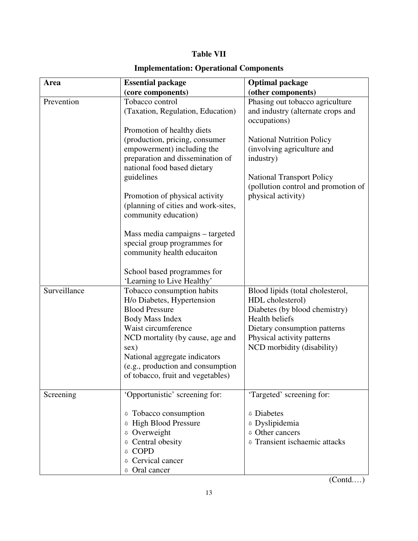# **Table VII**

# **Implementation: Operational Components**

| Area         | <b>Essential package</b><br>(core components)                                                                                                                                                                                                                                                                                                                                                                                                                                                      | <b>Optimal package</b><br>(other components)                                                                                                                                                                                                                         |
|--------------|----------------------------------------------------------------------------------------------------------------------------------------------------------------------------------------------------------------------------------------------------------------------------------------------------------------------------------------------------------------------------------------------------------------------------------------------------------------------------------------------------|----------------------------------------------------------------------------------------------------------------------------------------------------------------------------------------------------------------------------------------------------------------------|
| Prevention   | Tobacco control<br>(Taxation, Regulation, Education)<br>Promotion of healthy diets<br>(production, pricing, consumer<br>empowerment) including the<br>preparation and dissemination of<br>national food based dietary<br>guidelines<br>Promotion of physical activity<br>(planning of cities and work-sites,<br>community education)<br>Mass media campaigns – targeted<br>special group programmes for<br>community health educaiton<br>School based programmes for<br>'Learning to Live Healthy' | Phasing out tobacco agriculture<br>and industry (alternate crops and<br>occupations)<br><b>National Nutrition Policy</b><br>(involving agriculture and<br>industry)<br><b>National Transport Policy</b><br>(pollution control and promotion of<br>physical activity) |
| Surveillance | Tobacco consumption habits<br>H/o Diabetes, Hypertension<br><b>Blood Pressure</b><br>Body Mass Index<br>Waist circumference<br>NCD mortality (by cause, age and<br>sex)<br>National aggregate indicators<br>(e.g., production and consumption<br>of tobacco, fruit and vegetables)                                                                                                                                                                                                                 | Blood lipids (total cholesterol,<br>HDL cholesterol)<br>Diabetes (by blood chemistry)<br>Health beliefs<br>Dietary consumption patterns<br>Physical activity patterns<br>NCD morbidity (disability)                                                                  |
| Screening    | 'Opportunistic' screening for:<br>Tobacco consumption<br>⇩<br><b>High Blood Pressure</b><br>⇩<br><sup>0</sup> Overweight<br>Central obesity<br>⇩<br><b>COPD</b><br>⇩<br>Cervical cancer<br>J,<br>Oral cancer                                                                                                                                                                                                                                                                                       | 'Targeted' screening for:<br><b><i>v</i></b> Diabetes<br><sup>0</sup> Dyslipidemia<br><b>v</b> Other cancers<br><b>v</b> Transient ischaemic attacks                                                                                                                 |

(Contd.…)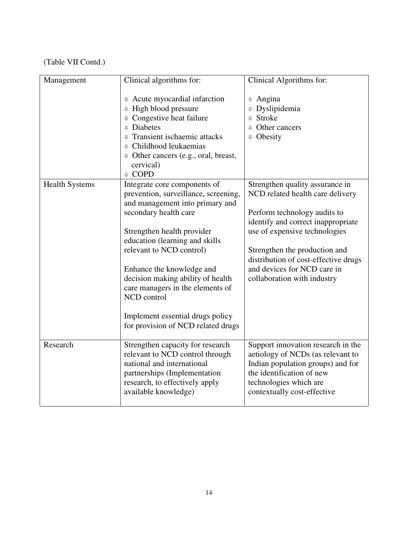# (Table VII Contd.)

| Management            | Clinical algorithms for:                                                                                                                                                                                                                                                                                     | Clinical Algorithms for:                                                                                               |
|-----------------------|--------------------------------------------------------------------------------------------------------------------------------------------------------------------------------------------------------------------------------------------------------------------------------------------------------------|------------------------------------------------------------------------------------------------------------------------|
|                       | <b>4</b> Acute myocardial infarction<br><b>U</b> High blood pressure<br><b><i>v</i></b> Congestive heat failure<br><b><i>v</i></b> Diabetes<br><b><i>v</i></b> Transient ischaemic attacks<br><sup>0</sup> Childhood leukaemias<br><b>0</b> Other cancers (e.g., oral, breast,<br>cervical)<br><b>U</b> COPD | <sup>0</sup> Angina<br><sup>0</sup> Dyslipidemia<br><b><i>v</i></b> Stroke<br>Other cancers<br><b><i>v</i></b> Obesity |
| <b>Health Systems</b> | Integrate core components of                                                                                                                                                                                                                                                                                 | Strengthen quality assurance in                                                                                        |
|                       | prevention, surveillance, screening,<br>and management into primary and                                                                                                                                                                                                                                      | NCD related health care delivery                                                                                       |
|                       | secondary health care                                                                                                                                                                                                                                                                                        | Perform technology audits to                                                                                           |
|                       | Strengthen health provider                                                                                                                                                                                                                                                                                   | identify and correct inappropriate<br>use of expensive technologies                                                    |
|                       | education (learning and skills                                                                                                                                                                                                                                                                               |                                                                                                                        |
|                       | relevant to NCD control)                                                                                                                                                                                                                                                                                     | Strengthen the production and                                                                                          |
|                       | Enhance the knowledge and                                                                                                                                                                                                                                                                                    | distribution of cost-effective drugs<br>and devices for NCD care in                                                    |
|                       | decision making ability of health                                                                                                                                                                                                                                                                            | collaboration with industry                                                                                            |
|                       | care managers in the elements of<br>NCD control                                                                                                                                                                                                                                                              |                                                                                                                        |
|                       | Implement essential drugs policy<br>for provision of NCD related drugs                                                                                                                                                                                                                                       |                                                                                                                        |
| Research              | Strengthen capacity for research<br>relevant to NCD control through                                                                                                                                                                                                                                          | Support innovation research in the<br>aetiology of NCDs (as relevant to                                                |
|                       | national and international                                                                                                                                                                                                                                                                                   | Indian population groups) and for                                                                                      |
|                       | partnerships (Implementation<br>research, to effectively apply                                                                                                                                                                                                                                               | the identification of new<br>technologies which are                                                                    |
|                       | available knowledge)                                                                                                                                                                                                                                                                                         | contextually cost-effective                                                                                            |
|                       |                                                                                                                                                                                                                                                                                                              |                                                                                                                        |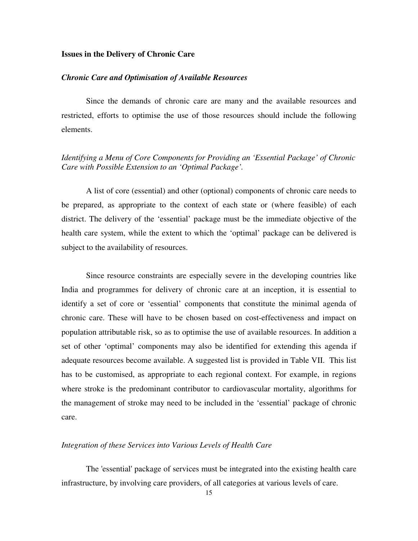## **Issues in the Delivery of Chronic Care**

#### *Chronic Care and Optimisation of Available Resources*

Since the demands of chronic care are many and the available resources and restricted, efforts to optimise the use of those resources should include the following elements.

## *Identifying a Menu of Core Components for Providing an 'Essential Package' of Chronic Care with Possible Extension to an 'Optimal Package'.*

A list of core (essential) and other (optional) components of chronic care needs to be prepared, as appropriate to the context of each state or (where feasible) of each district. The delivery of the 'essential' package must be the immediate objective of the health care system, while the extent to which the 'optimal' package can be delivered is subject to the availability of resources.

Since resource constraints are especially severe in the developing countries like India and programmes for delivery of chronic care at an inception, it is essential to identify a set of core or 'essential' components that constitute the minimal agenda of chronic care. These will have to be chosen based on cost-effectiveness and impact on population attributable risk, so as to optimise the use of available resources. In addition a set of other 'optimal' components may also be identified for extending this agenda if adequate resources become available. A suggested list is provided in Table VII. This list has to be customised, as appropriate to each regional context. For example, in regions where stroke is the predominant contributor to cardiovascular mortality, algorithms for the management of stroke may need to be included in the 'essential' package of chronic care.

## *Integration of these Services into Various Levels of Health Care*

The 'essential'package of services must be integrated into the existing health care infrastructure, by involving care providers, of all categories at various levels of care.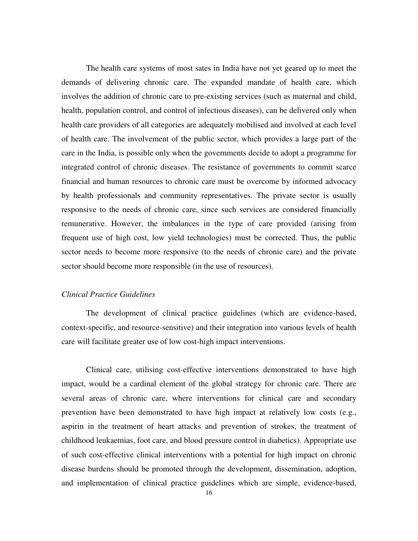The health care systems of most sates in India have not yet geared up to meet the demands of delivering chronic care. The expanded mandate of health care, which involves the addition of chronic care to pre-existing services (such as maternal and child, health, population control, and control of infectious diseases), can be delivered only when health care providers of all categories are adequately mobilised and involved at each level of health care. The involvement of the public sector, which provides a large part of the care in the India, is possible only when the governments decide to adopt a programme for integrated control of chronic diseases. The resistance of governments to commit scarce financial and human resources to chronic care must be overcome by informed advocacy by health professionals and community representatives. The private sector is usually responsive to the needs of chronic care, since such services are considered financially remunerative. However, the imbalances in the type of care provided (arising from frequent use of high cost, low yield technologies) must be corrected. Thus, the public sector needs to become more responsive (to the needs of chronic care) and the private sector should become more responsible (in the use of resources).

## *Clinical Practice Guidelines*

The development of clinical practice guidelines (which are evidence-based, context-specific, and resource-sensitive) and their integration into various levels of health care will facilitate greater use of low cost-high impact interventions.

Clinical care, utilising cost-effective interventions demonstrated to have high impact, would be a cardinal element of the global strategy for chronic care. There are several areas of chronic care, where interventions for clinical care and secondary prevention have been demonstrated to have high impact at relatively low costs (e.g., aspirin in the treatment of heart attacks and prevention of strokes, the treatment of childhood leukaemias, foot care, and blood pressure control in diabetics). Appropriate use of such cost-effective clinical interventions with a potential for high impact on chronic disease burdens should be promoted through the development, dissemination, adoption, and implementation of clinical practice guidelines which are simple, evidence-based,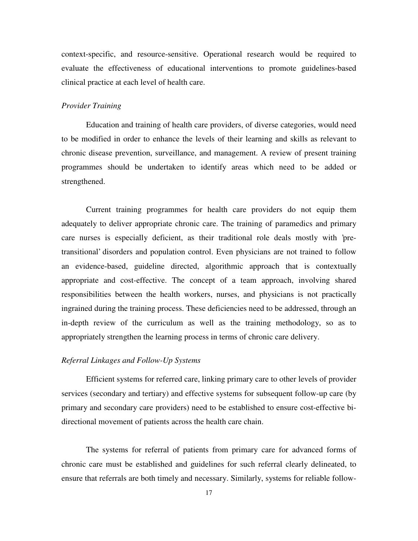context-specific, and resource-sensitive. Operational research would be required to evaluate the effectiveness of educational interventions to promote guidelines-based clinical practice at each level of health care.

#### *Provider Training*

Education and training of health care providers, of diverse categories, would need to be modified in order to enhance the levels of their learning and skills as relevant to chronic disease prevention, surveillance, and management. A review of present training programmes should be undertaken to identify areas which need to be added or strengthened.

Current training programmes for health care providers do not equip them adequately to deliver appropriate chronic care. The training of paramedics and primary care nurses is especially deficient, as their traditional role deals mostly with 'pretransitional' disorders and population control. Even physicians are not trained to follow an evidence-based, guideline directed, algorithmic approach that is contextually appropriate and cost-effective. The concept of a team approach, involving shared responsibilities between the health workers, nurses, and physicians is not practically ingrained during the training process. These deficiencies need to be addressed, through an in-depth review of the curriculum as well as the training methodology, so as to appropriately strengthen the learning process in terms of chronic care delivery.

## *Referral Linkages and Follow-Up Systems*

Efficient systems for referred care, linking primary care to other levels of provider services (secondary and tertiary) and effective systems for subsequent follow-up care (by primary and secondary care providers) need to be established to ensure cost-effective bidirectional movement of patients across the health care chain.

The systems for referral of patients from primary care for advanced forms of chronic care must be established and guidelines for such referral clearly delineated, to ensure that referrals are both timely and necessary. Similarly, systems for reliable follow-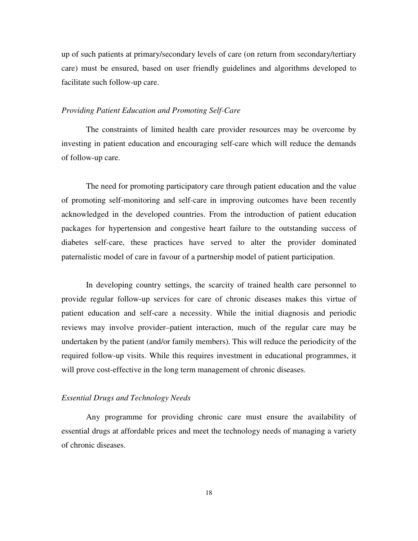up of such patients at primary/secondary levels of care (on return from secondary/tertiary care) must be ensured, based on user friendly guidelines and algorithms developed to facilitate such follow-up care.

## *Providing Patient Education and Promoting Self-Care*

The constraints of limited health care provider resources may be overcome by investing in patient education and encouraging self-care which will reduce the demands of follow-up care.

The need for promoting participatory care through patient education and the value of promoting self-monitoring and self-care in improving outcomes have been recently acknowledged in the developed countries. From the introduction of patient education packages for hypertension and congestive heart failure to the outstanding success of diabetes self-care, these practices have served to alter the provider dominated paternalistic model of care in favour of a partnership model of patient participation.

In developing country settings, the scarcity of trained health care personnel to provide regular follow-up services for care of chronic diseases makes this virtue of patient education and self-care a necessity. While the initial diagnosis and periodic reviews may involve provider–patient interaction, much of the regular care may be undertaken by the patient (and/or family members). This will reduce the periodicity of the required follow-up visits. While this requires investment in educational programmes, it will prove cost-effective in the long term management of chronic diseases.

## *Essential Drugs and Technology Needs*

Any programme for providing chronic care must ensure the availability of essential drugs at affordable prices and meet the technology needs of managing a variety of chronic diseases.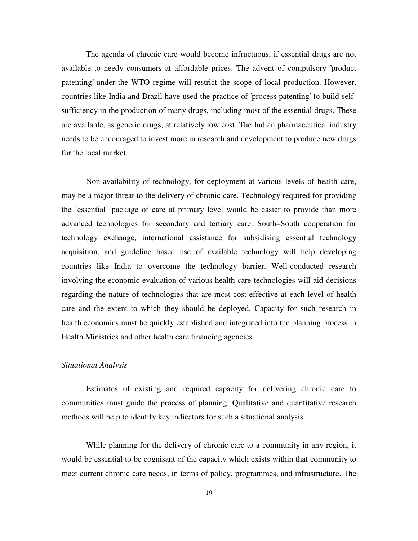The agenda of chronic care would become infructuous, if essential drugs are not available to needy consumers at affordable prices. The advent of compulsory 'product patenting' under the WTO regime will restrict the scope of local production. However, countries like India and Brazil have used the practice of 'process patenting'to build selfsufficiency in the production of many drugs, including most of the essential drugs. These are available, as generic drugs, at relatively low cost. The Indian pharmaceutical industry needs to be encouraged to invest more in research and development to produce new drugs for the local market.

Non-availability of technology, for deployment at various levels of health care, may be a major threat to the delivery of chronic care. Technology required for providing the 'essential' package of care at primary level would be easier to provide than more advanced technologies for secondary and tertiary care. South–South cooperation for technology exchange, international assistance for subsidising essential technology acquisition, and guideline based use of available technology will help developing countries like India to overcome the technology barrier. Well-conducted research involving the economic evaluation of various health care technologies will aid decisions regarding the nature of technologies that are most cost-effective at each level of health care and the extent to which they should be deployed. Capacity for such research in health economics must be quickly established and integrated into the planning process in Health Ministries and other health care financing agencies.

## *Situational Analysis*

Estimates of existing and required capacity for delivering chronic care to communities must guide the process of planning. Qualitative and quantitative research methods will help to identify key indicators for such a situational analysis.

While planning for the delivery of chronic care to a community in any region, it would be essential to be cognisant of the capacity which exists within that community to meet current chronic care needs, in terms of policy, programmes, and infrastructure. The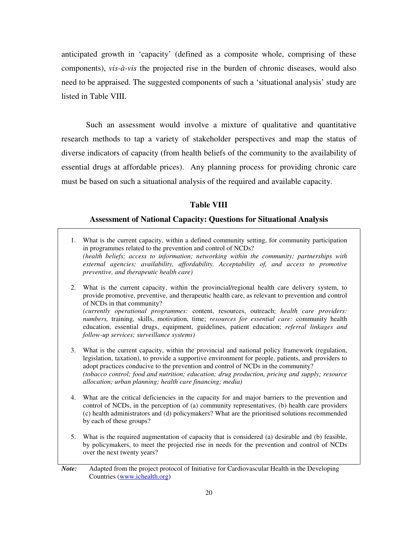anticipated growth in 'capacity' (defined as a composite whole, comprising of these components), *vis-à-vis* the projected rise in the burden of chronic diseases, would also need to be appraised. The suggested components of such a 'situational analysis' study are listed in Table VIII.

Such an assessment would involve a mixture of qualitative and quantitative research methods to tap a variety of stakeholder perspectives and map the status of diverse indicators of capacity (from health beliefs of the community to the availability of essential drugs at affordable prices). Any planning process for providing chronic care must be based on such a situational analysis of the required and available capacity.

## **Table VIII**

## **Assessment of National Capacity: Questions for Situational Analysis**

- 1. What is the current capacity, within a defined community setting, for community participation in programmes related to the prevention and control of NCDs? *(health beliefs; access to information; networking within the community; partnerships with external agencies; availability, affordability. Acceptability of, and access to promotive preventive, and therapeutic health care)*
- 2. What is the current capacity, within the provincial/regional health care delivery system, to provide promotive, preventive, and therapeutic health care, as relevant to prevention and control of NCDs in that community? *(currently operational programmes:* content, resources, outreach; *health care providers: numbers,* training, skills, motivation, time; *resources for essential care:* community health education, essential drugs, equipment, guidelines, patient education; *referral linkages and follow-up services; surveillance systems)*
- 3. What is the current capacity, within the provincial and national policy framework (regulation, legislation, taxation), to provide a supportive environment for people, patients, and providers to adopt practices conducive to the prevention and control of NCDs in the community? *(tobacco control; food and nutrition; education; drug production, pricing and supply; resource allocation; urban planning; health care financing; media)*
- 4. What are the critical deficiencies in the capacity for and major barriers to the prevention and control of NCDs, in the perception of (a) community representatives, (b) health care providers (c) health administrators and (d) policymakers? What are the prioritised solutions recommended by each of these groups?
- 5. What is the required augmentation of capacity that is considered (a) desirable and (b) feasible, by policymakers, to meet the projected rise in needs for the prevention and control of NCDs over the next twenty years?

*Note:* Adapted from the project protocol of Initiative for Cardiovascular Health in the Developing Countries (www.ichealth.org)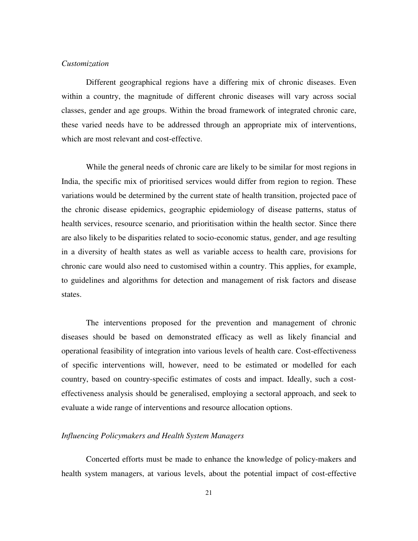## *Customization*

Different geographical regions have a differing mix of chronic diseases. Even within a country, the magnitude of different chronic diseases will vary across social classes, gender and age groups. Within the broad framework of integrated chronic care, these varied needs have to be addressed through an appropriate mix of interventions, which are most relevant and cost-effective.

While the general needs of chronic care are likely to be similar for most regions in India, the specific mix of prioritised services would differ from region to region. These variations would be determined by the current state of health transition, projected pace of the chronic disease epidemics, geographic epidemiology of disease patterns, status of health services, resource scenario, and prioritisation within the health sector. Since there are also likely to be disparities related to socio-economic status, gender, and age resulting in a diversity of health states as well as variable access to health care, provisions for chronic care would also need to customised within a country. This applies, for example, to guidelines and algorithms for detection and management of risk factors and disease states.

The interventions proposed for the prevention and management of chronic diseases should be based on demonstrated efficacy as well as likely financial and operational feasibility of integration into various levels of health care. Cost-effectiveness of specific interventions will, however, need to be estimated or modelled for each country, based on country-specific estimates of costs and impact. Ideally, such a costeffectiveness analysis should be generalised, employing a sectoral approach, and seek to evaluate a wide range of interventions and resource allocation options.

## *Influencing Policymakers and Health System Managers*

Concerted efforts must be made to enhance the knowledge of policy-makers and health system managers, at various levels, about the potential impact of cost-effective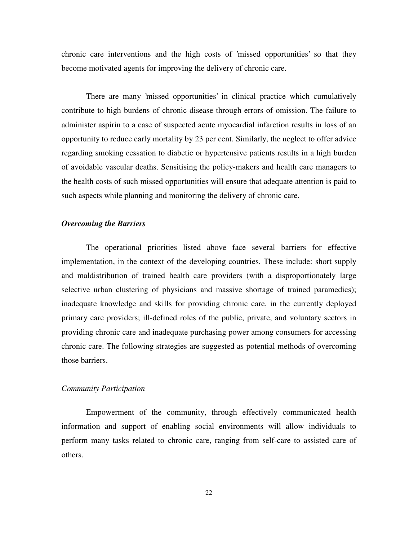chronic care interventions and the high costs of 'missed opportunities' so that they become motivated agents for improving the delivery of chronic care.

There are many 'missed opportunities' in clinical practice which cumulatively contribute to high burdens of chronic disease through errors of omission. The failure to administer aspirin to a case of suspected acute myocardial infarction results in loss of an opportunity to reduce early mortality by 23 per cent. Similarly, the neglect to offer advice regarding smoking cessation to diabetic or hypertensive patients results in a high burden of avoidable vascular deaths. Sensitising the policy-makers and health care managers to the health costs of such missed opportunities will ensure that adequate attention is paid to such aspects while planning and monitoring the delivery of chronic care.

## *Overcoming the Barriers*

The operational priorities listed above face several barriers for effective implementation, in the context of the developing countries. These include: short supply and maldistribution of trained health care providers (with a disproportionately large selective urban clustering of physicians and massive shortage of trained paramedics); inadequate knowledge and skills for providing chronic care, in the currently deployed primary care providers; ill-defined roles of the public, private, and voluntary sectors in providing chronic care and inadequate purchasing power among consumers for accessing chronic care. The following strategies are suggested as potential methods of overcoming those barriers.

## *Community Participation*

Empowerment of the community, through effectively communicated health information and support of enabling social environments will allow individuals to perform many tasks related to chronic care, ranging from self-care to assisted care of others.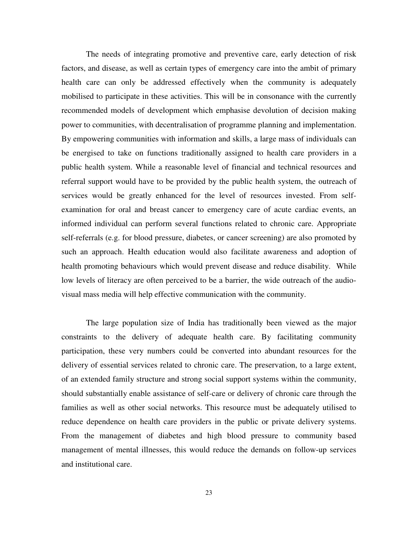The needs of integrating promotive and preventive care, early detection of risk factors, and disease, as well as certain types of emergency care into the ambit of primary health care can only be addressed effectively when the community is adequately mobilised to participate in these activities. This will be in consonance with the currently recommended models of development which emphasise devolution of decision making power to communities, with decentralisation of programme planning and implementation. By empowering communities with information and skills, a large mass of individuals can be energised to take on functions traditionally assigned to health care providers in a public health system. While a reasonable level of financial and technical resources and referral support would have to be provided by the public health system, the outreach of services would be greatly enhanced for the level of resources invested. From selfexamination for oral and breast cancer to emergency care of acute cardiac events, an informed individual can perform several functions related to chronic care. Appropriate self-referrals (e.g. for blood pressure, diabetes, or cancer screening) are also promoted by such an approach. Health education would also facilitate awareness and adoption of health promoting behaviours which would prevent disease and reduce disability. While low levels of literacy are often perceived to be a barrier, the wide outreach of the audiovisual mass media will help effective communication with the community.

The large population size of India has traditionally been viewed as the major constraints to the delivery of adequate health care. By facilitating community participation, these very numbers could be converted into abundant resources for the delivery of essential services related to chronic care. The preservation, to a large extent, of an extended family structure and strong social support systems within the community, should substantially enable assistance of self-care or delivery of chronic care through the families as well as other social networks. This resource must be adequately utilised to reduce dependence on health care providers in the public or private delivery systems. From the management of diabetes and high blood pressure to community based management of mental illnesses, this would reduce the demands on follow-up services and institutional care.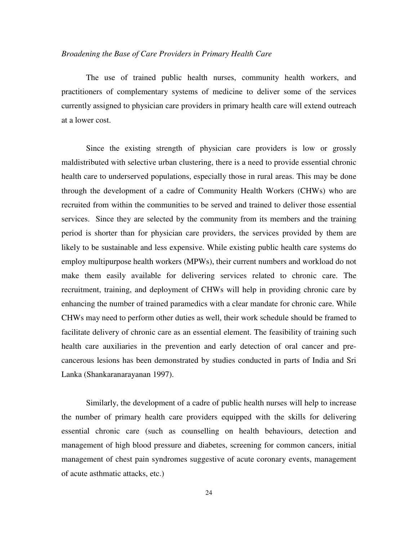## *Broadening the Base of Care Providers in Primary Health Care*

The use of trained public health nurses, community health workers, and practitioners of complementary systems of medicine to deliver some of the services currently assigned to physician care providers in primary health care will extend outreach at a lower cost.

Since the existing strength of physician care providers is low or grossly maldistributed with selective urban clustering, there is a need to provide essential chronic health care to underserved populations, especially those in rural areas. This may be done through the development of a cadre of Community Health Workers (CHWs) who are recruited from within the communities to be served and trained to deliver those essential services. Since they are selected by the community from its members and the training period is shorter than for physician care providers, the services provided by them are likely to be sustainable and less expensive. While existing public health care systems do employ multipurpose health workers (MPWs), their current numbers and workload do not make them easily available for delivering services related to chronic care. The recruitment, training, and deployment of CHWs will help in providing chronic care by enhancing the number of trained paramedics with a clear mandate for chronic care. While CHWs may need to perform other duties as well, their work schedule should be framed to facilitate delivery of chronic care as an essential element. The feasibility of training such health care auxiliaries in the prevention and early detection of oral cancer and precancerous lesions has been demonstrated by studies conducted in parts of India and Sri Lanka (Shankaranarayanan 1997).

Similarly, the development of a cadre of public health nurses will help to increase the number of primary health care providers equipped with the skills for delivering essential chronic care (such as counselling on health behaviours, detection and management of high blood pressure and diabetes, screening for common cancers, initial management of chest pain syndromes suggestive of acute coronary events, management of acute asthmatic attacks, etc.)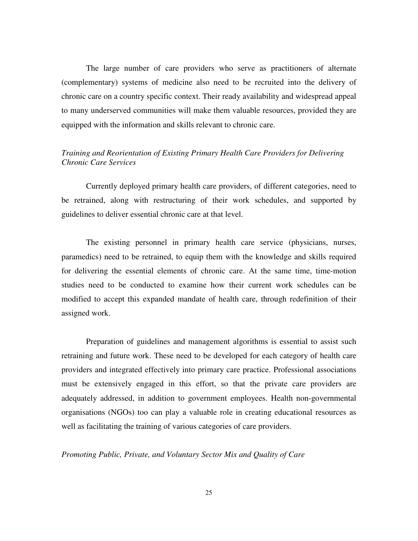The large number of care providers who serve as practitioners of alternate (complementary) systems of medicine also need to be recruited into the delivery of chronic care on a country specific context. Their ready availability and widespread appeal to many underserved communities will make them valuable resources, provided they are equipped with the information and skills relevant to chronic care.

## *Training and Reorientation of Existing Primary Health Care Providers for Delivering Chronic Care Services*

Currently deployed primary health care providers, of different categories, need to be retrained, along with restructuring of their work schedules, and supported by guidelines to deliver essential chronic care at that level.

The existing personnel in primary health care service (physicians, nurses, paramedics) need to be retrained, to equip them with the knowledge and skills required for delivering the essential elements of chronic care. At the same time, time-motion studies need to be conducted to examine how their current work schedules can be modified to accept this expanded mandate of health care, through redefinition of their assigned work.

Preparation of guidelines and management algorithms is essential to assist such retraining and future work. These need to be developed for each category of health care providers and integrated effectively into primary care practice. Professional associations must be extensively engaged in this effort, so that the private care providers are adequately addressed, in addition to government employees. Health non-governmental organisations (NGOs) too can play a valuable role in creating educational resources as well as facilitating the training of various categories of care providers.

*Promoting Public, Private, and Voluntary Sector Mix and Quality of Care*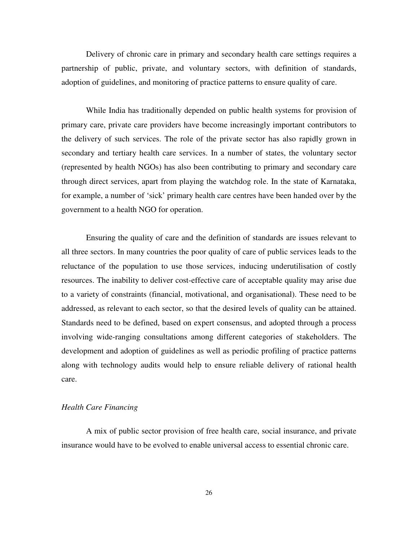Delivery of chronic care in primary and secondary health care settings requires a partnership of public, private, and voluntary sectors, with definition of standards, adoption of guidelines, and monitoring of practice patterns to ensure quality of care.

While India has traditionally depended on public health systems for provision of primary care, private care providers have become increasingly important contributors to the delivery of such services. The role of the private sector has also rapidly grown in secondary and tertiary health care services. In a number of states, the voluntary sector (represented by health NGOs) has also been contributing to primary and secondary care through direct services, apart from playing the watchdog role. In the state of Karnataka, for example, a number of 'sick' primary health care centres have been handed over by the government to a health NGO for operation.

Ensuring the quality of care and the definition of standards are issues relevant to all three sectors. In many countries the poor quality of care of public services leads to the reluctance of the population to use those services, inducing underutilisation of costly resources. The inability to deliver cost-effective care of acceptable quality may arise due to a variety of constraints (financial, motivational, and organisational). These need to be addressed, as relevant to each sector, so that the desired levels of quality can be attained. Standards need to be defined, based on expert consensus, and adopted through a process involving wide-ranging consultations among different categories of stakeholders. The development and adoption of guidelines as well as periodic profiling of practice patterns along with technology audits would help to ensure reliable delivery of rational health care.

## *Health Care Financing*

A mix of public sector provision of free health care, social insurance, and private insurance would have to be evolved to enable universal access to essential chronic care.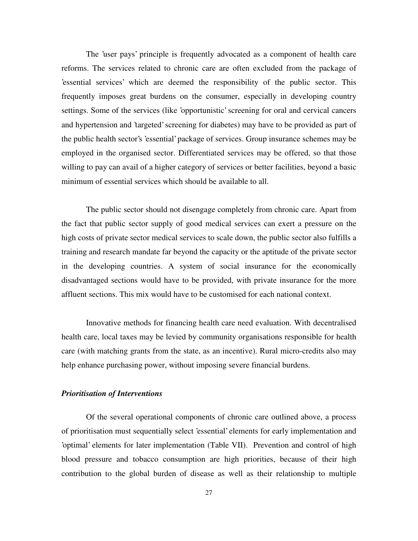The 'user pays' principle is frequently advocated as a component of health care reforms. The services related to chronic care are often excluded from the package of 'essential services' which are deemed the responsibility of the public sector. This frequently imposes great burdens on the consumer, especially in developing country settings. Some of the services (like 'opportunistic' screening for oral and cervical cancers and hypertension and 'targeted'screening for diabetes) may have to be provided as part of the public health sector's 'essential'package of services. Group insurance schemes may be employed in the organised sector. Differentiated services may be offered, so that those willing to pay can avail of a higher category of services or better facilities, beyond a basic minimum of essential services which should be available to all.

The public sector should not disengage completely from chronic care. Apart from the fact that public sector supply of good medical services can exert a pressure on the high costs of private sector medical services to scale down, the public sector also fulfills a training and research mandate far beyond the capacity or the aptitude of the private sector in the developing countries. A system of social insurance for the economically disadvantaged sections would have to be provided, with private insurance for the more affluent sections. This mix would have to be customised for each national context.

Innovative methods for financing health care need evaluation. With decentralised health care, local taxes may be levied by community organisations responsible for health care (with matching grants from the state, as an incentive). Rural micro-credits also may help enhance purchasing power, without imposing severe financial burdens.

#### *Prioritisation of Interventions*

Of the several operational components of chronic care outlined above, a process of prioritisation must sequentially select 'essential'elements for early implementation and 'optimal' elements for later implementation (Table VII). Prevention and control of high blood pressure and tobacco consumption are high priorities, because of their high contribution to the global burden of disease as well as their relationship to multiple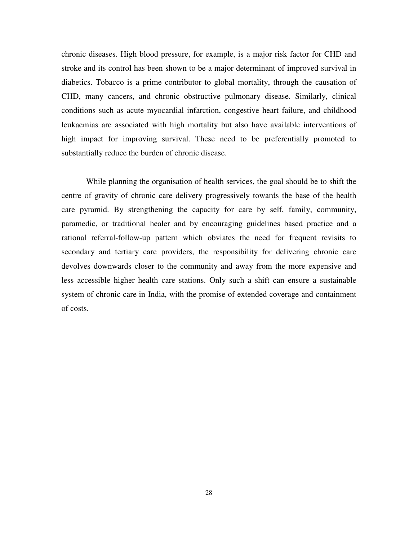chronic diseases. High blood pressure, for example, is a major risk factor for CHD and stroke and its control has been shown to be a major determinant of improved survival in diabetics. Tobacco is a prime contributor to global mortality, through the causation of CHD, many cancers, and chronic obstructive pulmonary disease. Similarly, clinical conditions such as acute myocardial infarction, congestive heart failure, and childhood leukaemias are associated with high mortality but also have available interventions of high impact for improving survival. These need to be preferentially promoted to substantially reduce the burden of chronic disease.

While planning the organisation of health services, the goal should be to shift the centre of gravity of chronic care delivery progressively towards the base of the health care pyramid. By strengthening the capacity for care by self, family, community, paramedic, or traditional healer and by encouraging guidelines based practice and a rational referral-follow-up pattern which obviates the need for frequent revisits to secondary and tertiary care providers, the responsibility for delivering chronic care devolves downwards closer to the community and away from the more expensive and less accessible higher health care stations. Only such a shift can ensure a sustainable system of chronic care in India, with the promise of extended coverage and containment of costs.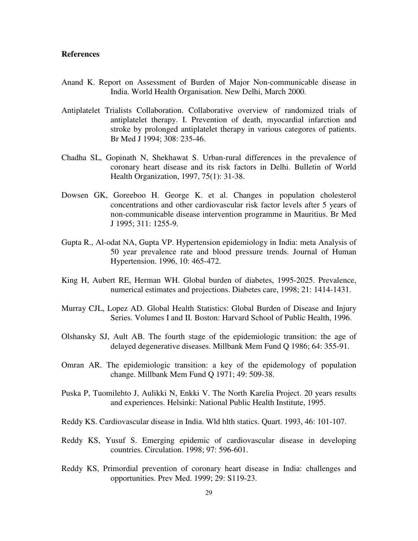## **References**

- Anand K. Report on Assessment of Burden of Major Non-communicable disease in India. World Health Organisation. New Delhi, March 2000.
- Antiplatelet Trialists Collaboration. Collaborative overview of randomized trials of antiplatelet therapy. I. Prevention of death, myocardial infarction and stroke by prolonged antiplatelet therapy in various categores of patients. Br Med J 1994; 308: 235-46.
- Chadha SL, Gopinath N, Shekhawat S. Urban-rural differences in the prevalence of coronary heart disease and its risk factors in Delhi. Bulletin of World Health Organization, 1997, 75(1): 31-38.
- Dowsen GK, Goreeboo H. George K. et al. Changes in population cholesterol concentrations and other cardiovascular risk factor levels after 5 years of non-communicable disease intervention programme in Mauritius. Br Med J 1995; 311: 1255-9.
- Gupta R., Al-odat NA, Gupta VP. Hypertension epidemiology in India: meta Analysis of 50 year prevalence rate and blood pressure trends. Journal of Human Hypertension. 1996, 10: 465-472.
- King H, Aubert RE, Herman WH. Global burden of diabetes, 1995-2025. Prevalence, numerical estimates and projections. Diabetes care, 1998; 21: 1414-1431.
- Murray CJL, Lopez AD. Global Health Statistics: Global Burden of Disease and Injury Series. Volumes I and II. Boston: Harvard School of Public Health, 1996.
- Olshansky SJ, Ault AB. The fourth stage of the epidemiologic transition: the age of delayed degenerative diseases. Millbank Mem Fund Q 1986; 64: 355-91.
- Omran AR. The epidemiologic transition: a key of the epidemology of population change. Millbank Mem Fund Q 1971; 49: 509-38.
- Puska P, Tuomilehto J, Aulikki N, Enkki V. The North Karelia Project. 20 years results and experiences. Helsinki: National Public Health Institute, 1995.
- Reddy KS. Cardiovascular disease in India. Wld hlth statics. Quart. 1993, 46: 101-107.
- Reddy KS, Yusuf S. Emerging epidemic of cardiovascular disease in developing countries. Circulation. 1998; 97: 596-601.
- Reddy KS, Primordial prevention of coronary heart disease in India: challenges and opportunities. Prev Med. 1999; 29: S119-23.